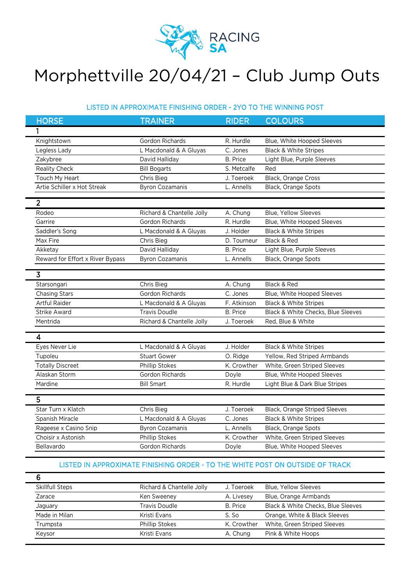

## Morphettville 20/04/21 – Club Jump Outs

## LISTED IN APPROXIMATE FINISHING ORDER - 2YO TO THE WINNING POST

| <b>HORSE</b>                     | <b>TRAINER</b>            | <b>RIDER</b>    | <b>COLOURS</b>                       |
|----------------------------------|---------------------------|-----------------|--------------------------------------|
| 1                                |                           |                 |                                      |
| Knightstown                      | Gordon Richards           | R. Hurdle       | Blue, White Hooped Sleeves           |
| Legless Lady                     | L Macdonald & A Gluyas    | C. Jones        | Black & White Stripes                |
| Zakybree                         | David Halliday            | <b>B.</b> Price | Light Blue, Purple Sleeves           |
| Reality Check                    | <b>Bill Bogarts</b>       | S. Metcalfe     | Red                                  |
| Touch My Heart                   | Chris Bieg                | J. Toeroek      | Black, Orange Cross                  |
| Artie Schiller x Hot Streak      | <b>Byron Cozamanis</b>    | L. Annells      | Black, Orange Spots                  |
| $\overline{2}$                   |                           |                 |                                      |
|                                  |                           |                 |                                      |
| Rodeo                            | Richard & Chantelle Jolly | A. Chung        | <b>Blue, Yellow Sleeves</b>          |
| Garrire                          | Gordon Richards           | R. Hurdle       | Blue, White Hooped Sleeves           |
| Saddler's Song                   | L Macdonald & A Gluyas    | J. Holder       | <b>Black &amp; White Stripes</b>     |
| Max Fire                         | Chris Bieg                | D. Tourneur     | Black & Red                          |
| Akketay                          | David Halliday            | <b>B.</b> Price | Light Blue, Purple Sleeves           |
| Reward for Effort x River Bypass | <b>Byron Cozamanis</b>    | L. Annells      | Black, Orange Spots                  |
| $\overline{\mathbf{3}}$          |                           |                 |                                      |
| Starsongari                      | Chris Bieg                | A. Chung        | Black & Red                          |
| <b>Chasing Stars</b>             | Gordon Richards           | C. Jones        | Blue, White Hooped Sleeves           |
| <b>Artful Raider</b>             | L Macdonald & A Gluyas    | F. Atkinson     | <b>Black &amp; White Stripes</b>     |
| Strike Award                     | <b>Travis Doudle</b>      | <b>B.</b> Price | Black & White Checks, Blue Sleeves   |
| Mentrida                         | Richard & Chantelle Jolly | J. Toeroek      | Red, Blue & White                    |
|                                  |                           |                 |                                      |
| 4                                |                           |                 |                                      |
| Eyes Never Lie                   | L Macdonald & A Gluyas    | J. Holder       | <b>Black &amp; White Stripes</b>     |
| Tupoleu                          | <b>Stuart Gower</b>       | O. Ridge        | Yellow, Red Striped Armbands         |
| <b>Totally Discreet</b>          | Phillip Stokes            | K. Crowther     | White, Green Striped Sleeves         |
| Alaskan Storm                    | Gordon Richards           | Doyle           | Blue, White Hooped Sleeves           |
| Mardine                          | <b>Bill Smart</b>         | R. Hurdle       | Light Blue & Dark Blue Stripes       |
| $\overline{5}$                   |                           |                 |                                      |
| Star Turn x Klatch               | Chris Bieg                | J. Toeroek      | <b>Black, Orange Striped Sleeves</b> |
| Spanish Miracle                  | L Macdonald & A Gluyas    | C. Jones        | <b>Black &amp; White Stripes</b>     |
| Rageese x Casino Snip            | <b>Byron Cozamanis</b>    | L. Annells      | Black, Orange Spots                  |
| Choisir x Astonish               | Phillip Stokes            | K. Crowther     | White, Green Striped Sleeves         |
| Bellavardo                       | Gordon Richards           | Doyle           | Blue, White Hooped Sleeves           |
|                                  |                           |                 |                                      |

## LISTED IN APPROXIMATE FINISHING ORDER - TO THE WHITE POST ON OUTSIDE OF TRACK

| Skillfull Steps | Richard & Chantelle Jolly | J. Toeroek      | Blue, Yellow Sleeves               |
|-----------------|---------------------------|-----------------|------------------------------------|
| Zarace          | Ken Sweeney               | A. Livesey      | Blue, Orange Armbands              |
| Jaguary         | Travis Doudle             | <b>B.</b> Price | Black & White Checks, Blue Sleeves |
| Made in Milan   | Kristi Evans              | S. So           | Orange, White & Black Sleeves      |
| Trumpsta        | Phillip Stokes            | K. Crowther     | White, Green Striped Sleeves       |
| Keysor          | Kristi Evans              | A. Chung        | Pink & White Hoops                 |
|                 |                           |                 |                                    |